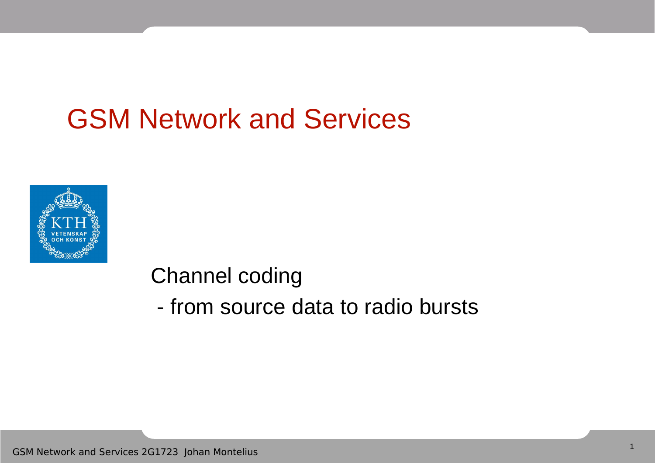#### GSM Network and Services



Channel coding

- from source data to radio bursts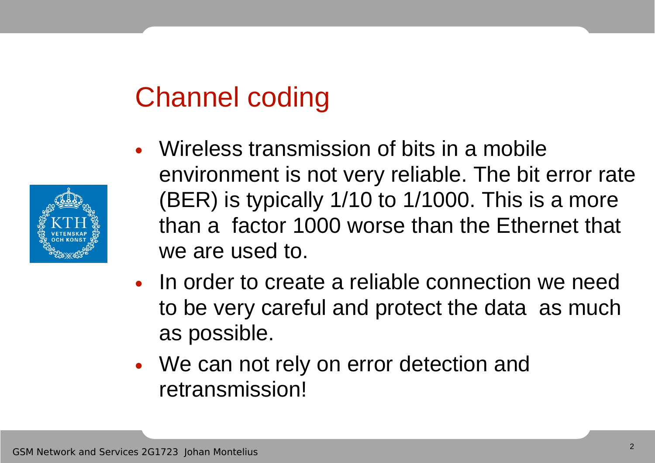# Channel coding



- Wireless transmission of bits in a mobile environment is not very reliable. The bit error rate (BER) is typically 1/10 to 1/1000. This is a more than a factor 1000 worse than the Ethernet that we are used to.
- In order to create a reliable connection we need to be very careful and protect the data as much as possible.
- We can not rely on error detection and retransmission!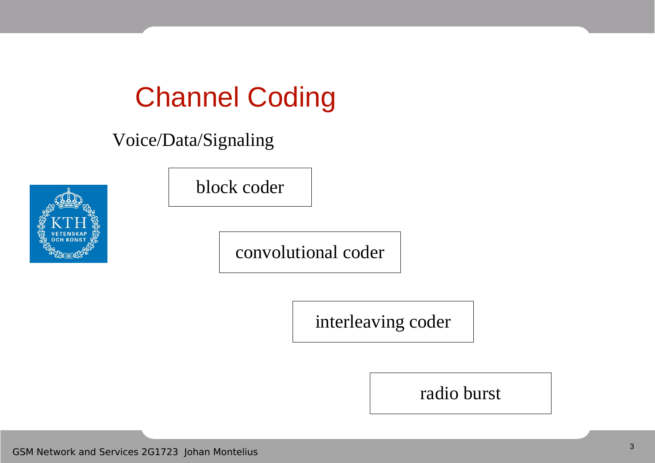# Channel Coding

Voice/Data/Signaling



block coder

convolutional coder

interleaving coder

radio burst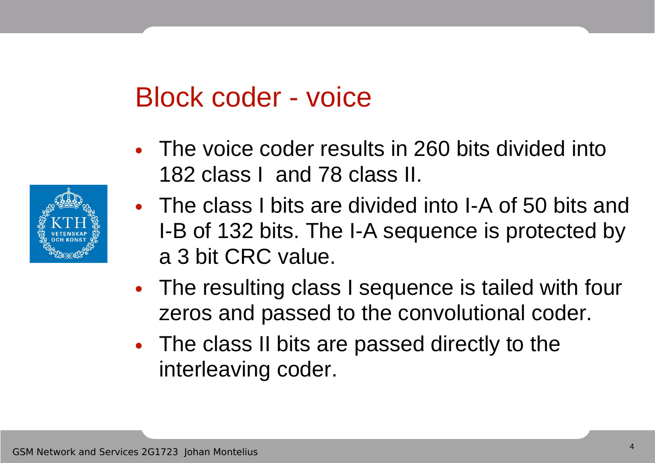#### Block coder - voice

- The voice coder results in 260 bits divided into 182 class I and 78 class II.
- The class I bits are divided into I-A of 50 bits and I-B of 132 bits. The I-A sequence is protected by a 3 bit CRC value.
- The resulting class I sequence is tailed with four zeros and passed to the convolutional coder.
- The class II bits are passed directly to the interleaving coder.

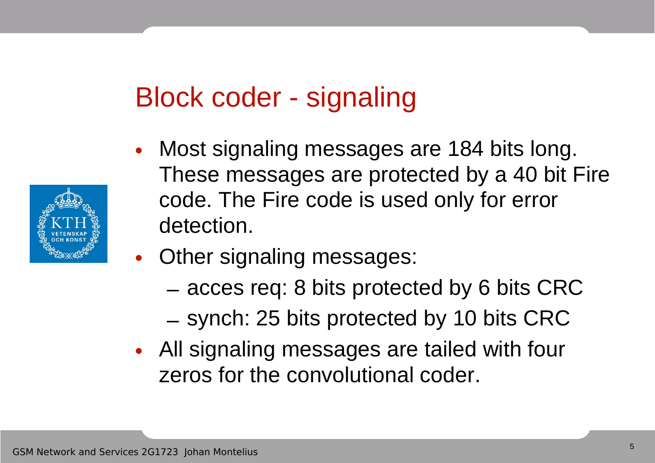### Block coder - signaling

- Most signaling messages are 184 bits long. These messages are protected by a 40 bit Fire code. The Fire code is used only for error detection.
- Other signaling messages:
	- acces req: 8 bits protected by 6 bits CRC
	- synch: 25 bits protected by 10 bits CRC
- All signaling messages are tailed with four zeros for the convolutional coder.

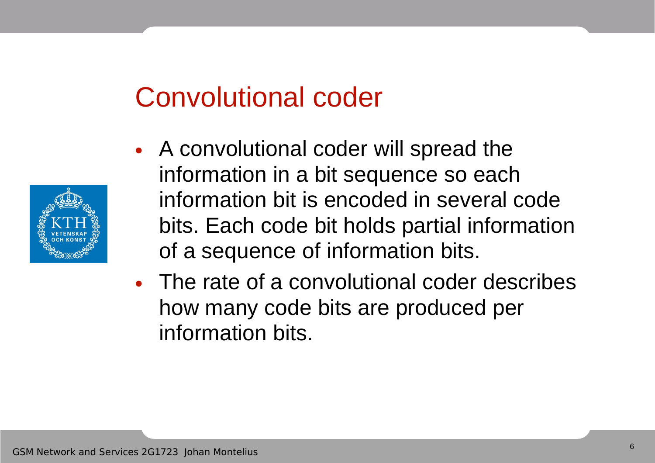- 
- A convolutional coder will spread the information in a bit sequence so each information bit is encoded in several code bits. Each code bit holds partial information of a sequence of information bits.
- The rate of a convolutional coder describes how many code bits are produced per information bits.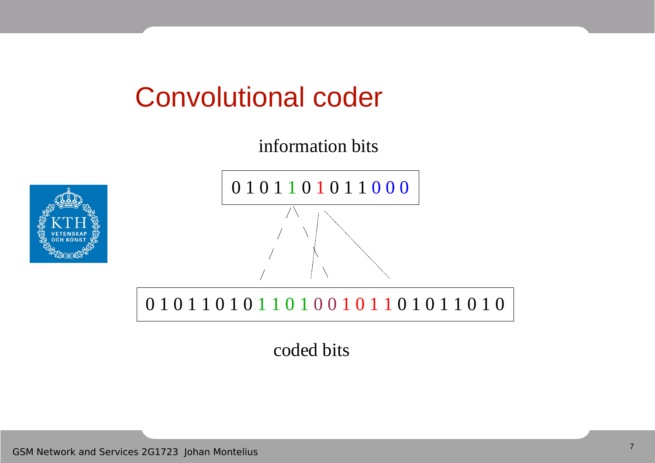information bits





0 1 0 1 1 0 1 0 1 1 0 1 0 0 1 0 1 1 0 1 0 1 1 0 1 0 1 0

coded bits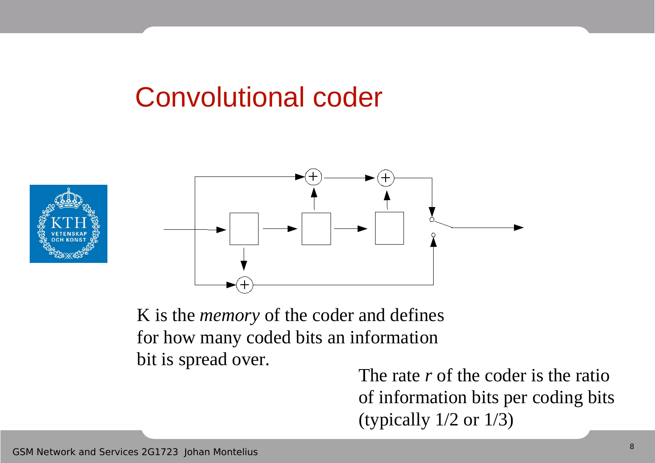



K is the *memory* of the coder and defines for how many coded bits an information bit is spread over.

The rate *r* of the coder is the ratio of information bits per coding bits (typically 1/2 or 1/3)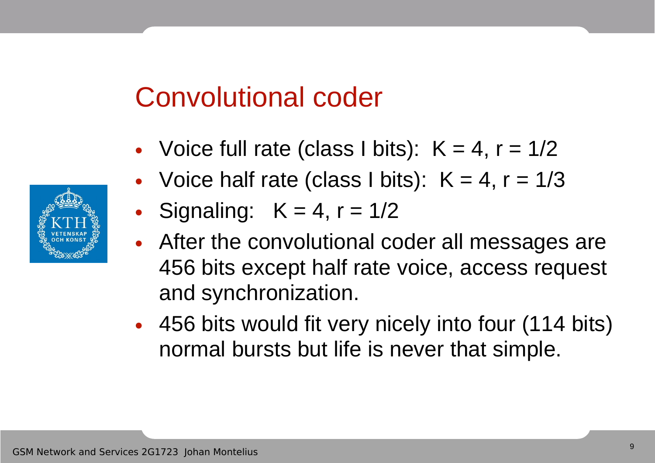- Voice full rate (class I bits):  $K = 4$ ,  $r = 1/2$
- Voice half rate (class I bits):  $K = 4$ ,  $r = 1/3$
- Signaling:  $K = 4$ ,  $r = 1/2$
- After the convolutional coder all messages are 456 bits except half rate voice, access request and synchronization.
- 456 bits would fit very nicely into four (114 bits) normal bursts but life is never that simple.

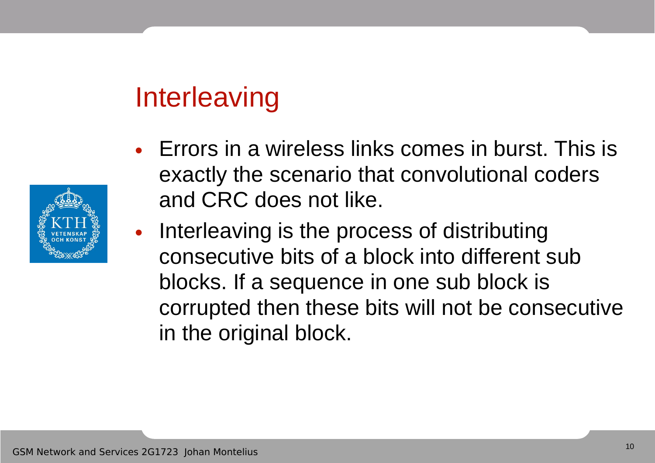### **Interleaving**

- Errors in a wireless links comes in burst. This is exactly the scenario that convolutional coders and CRC does not like.
- Interleaving is the process of distributing consecutive bits of a block into different sub blocks. If a sequence in one sub block is corrupted then these bits will not be consecutive in the original block.

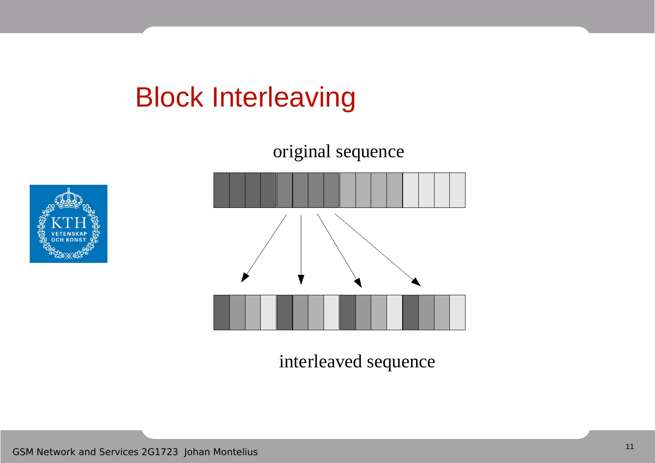### Block Interleaving



interleaved sequence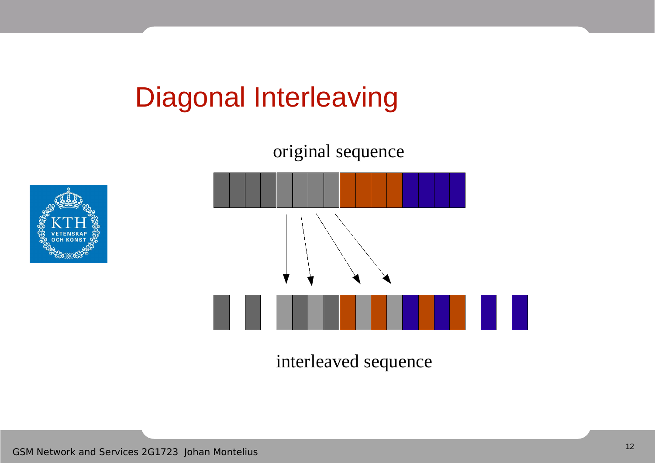# Diagonal Interleaving

original sequence





interleaved sequence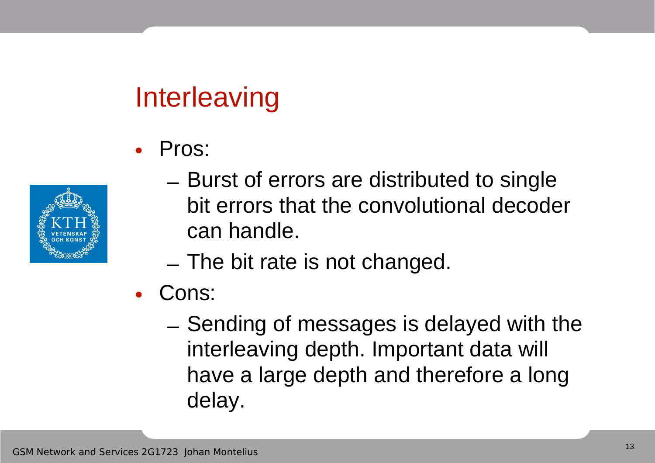# **Interleaving**

• Pros:



- Burst of errors are distributed to single bit errors that the convolutional decoder can handle.
- The bit rate is not changed.
- Cons:
	- Sending of messages is delayed with the interleaving depth. Important data will have a large depth and therefore a long delay.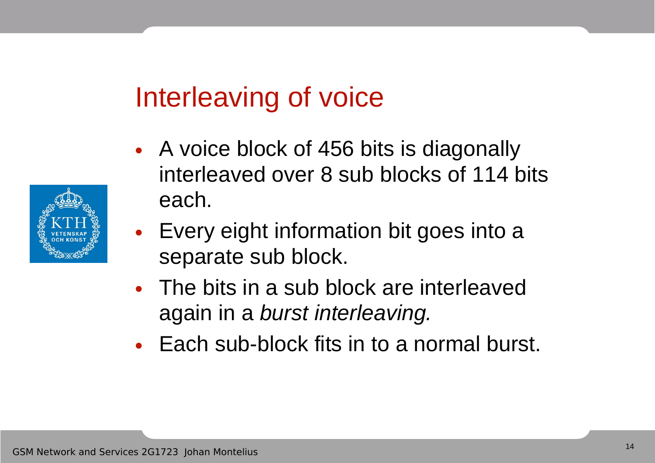#### Interleaving of voice

- A voice block of 456 bits is diagonally interleaved over 8 sub blocks of 114 bits each.
- Every eight information bit goes into a separate sub block.
- The bits in a sub block are interleaved again in a burst interleaving.
- Each sub-block fits in to a normal burst.

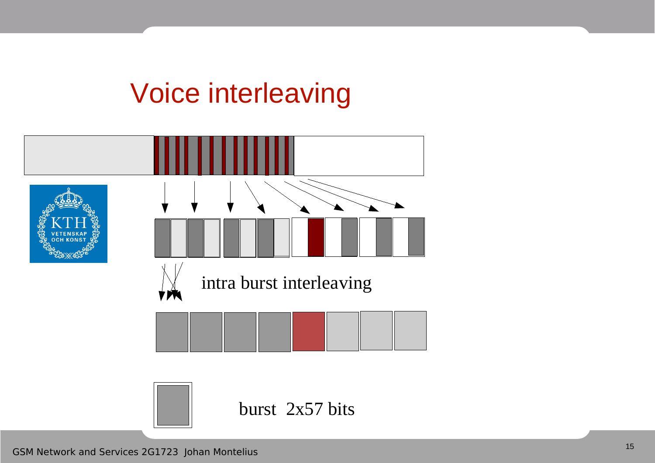### Voice interleaving

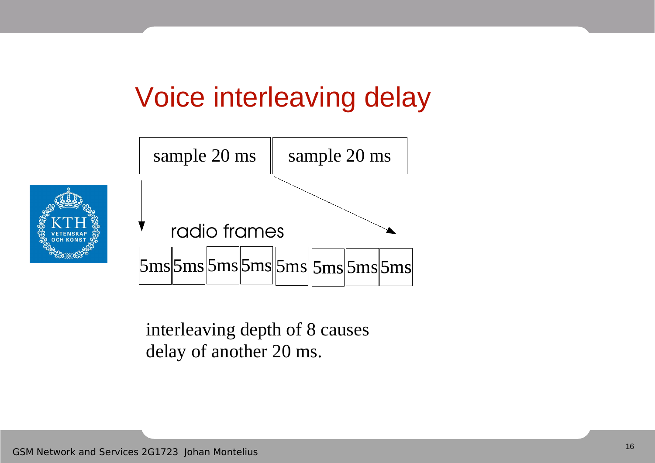# Voice interleaving delay



interleaving depth of 8 causes delay of another 20 ms.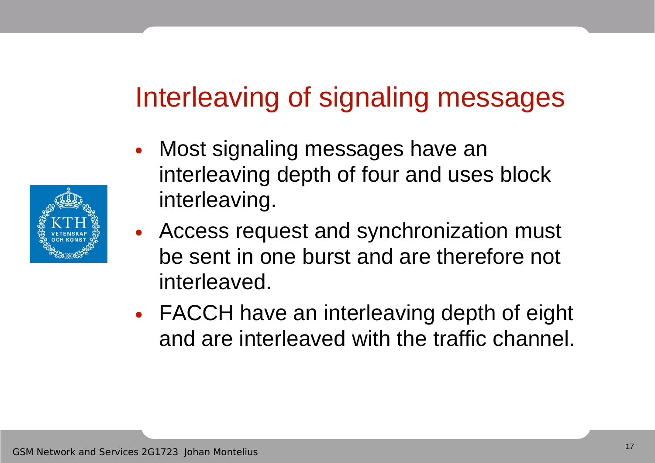### Interleaving of signaling messages

- Most signaling messages have an interleaving depth of four and uses block interleaving.
- Access request and synchronization must be sent in one burst and are therefore not interleaved.
- FACCH have an interleaving depth of eight and are interleaved with the traffic channel.

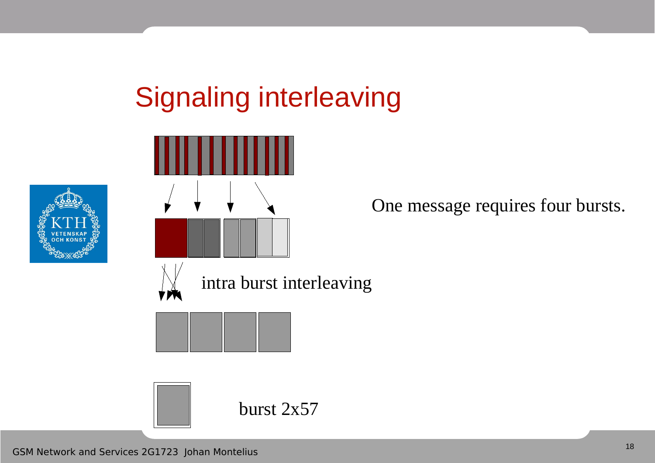# Signaling interleaving





One message requires four bursts.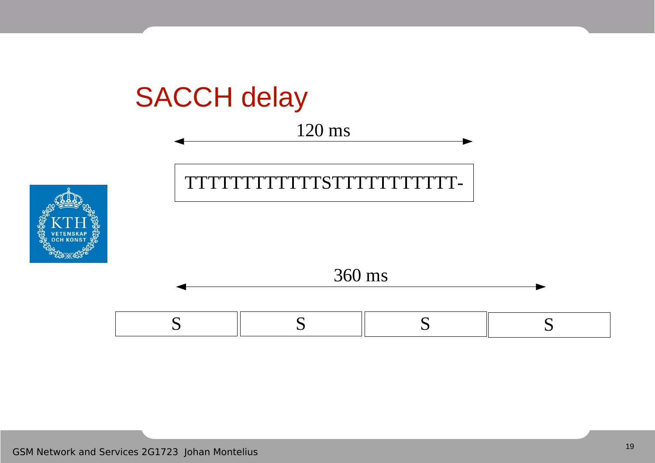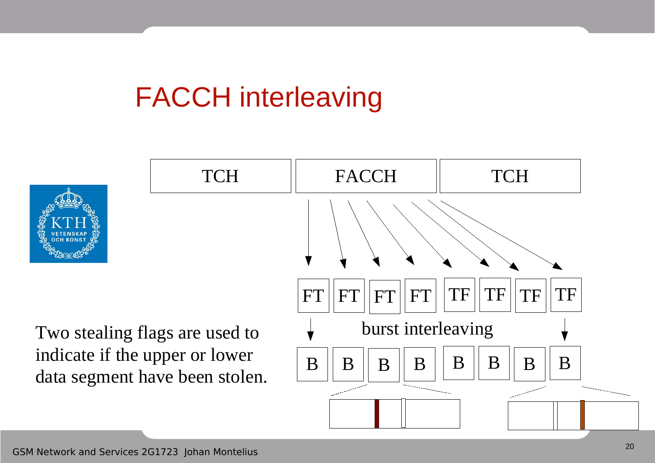# FACCH interleaving



Two stealing flags are used to indicate if the upper or lower data segment have been stolen.